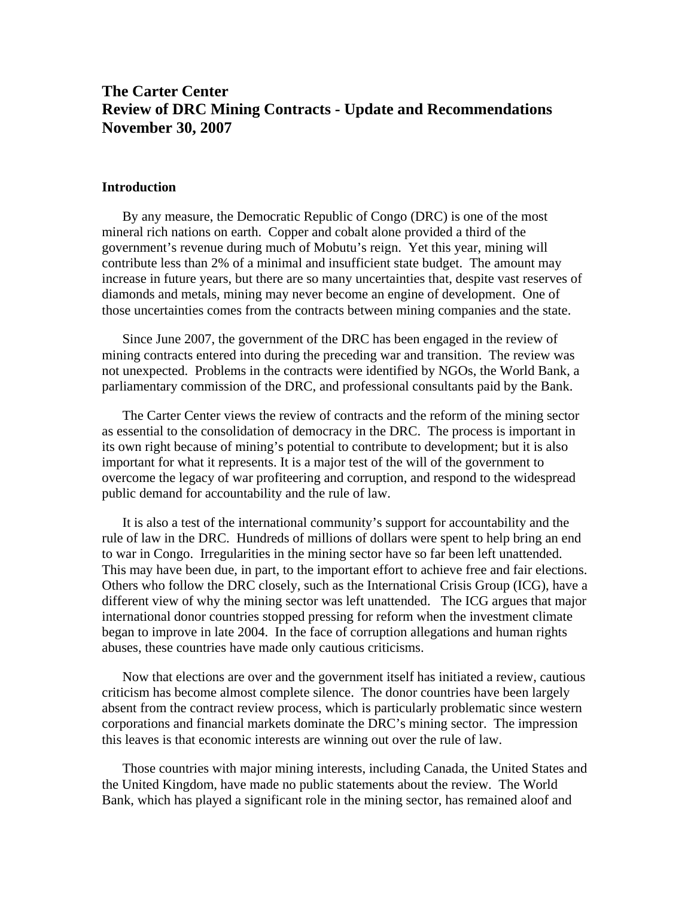# **The Carter Center Review of DRC Mining Contracts - Update and Recommendations November 30, 2007**

#### **Introduction**

By any measure, the Democratic Republic of Congo (DRC) is one of the most mineral rich nations on earth. Copper and cobalt alone provided a third of the government's revenue during much of Mobutu's reign. Yet this year, mining will contribute less than 2% of a minimal and insufficient state budget. The amount may increase in future years, but there are so many uncertainties that, despite vast reserves of diamonds and metals, mining may never become an engine of development. One of those uncertainties comes from the contracts between mining companies and the state.

Since June 2007, the government of the DRC has been engaged in the review of mining contracts entered into during the preceding war and transition. The review was not unexpected. Problems in the contracts were identified by NGOs, the World Bank, a parliamentary commission of the DRC, and professional consultants paid by the Bank.

The Carter Center views the review of contracts and the reform of the mining sector as essential to the consolidation of democracy in the DRC. The process is important in its own right because of mining's potential to contribute to development; but it is also important for what it represents. It is a major test of the will of the government to overcome the legacy of war profiteering and corruption, and respond to the widespread public demand for accountability and the rule of law.

It is also a test of the international community's support for accountability and the rule of law in the DRC. Hundreds of millions of dollars were spent to help bring an end to war in Congo. Irregularities in the mining sector have so far been left unattended. This may have been due, in part, to the important effort to achieve free and fair elections. Others who follow the DRC closely, such as the International Crisis Group (ICG), have a different view of why the mining sector was left unattended. The ICG argues that major international donor countries stopped pressing for reform when the investment climate began to improve in late 2004. In the face of corruption allegations and human rights abuses, these countries have made only cautious criticisms.

Now that elections are over and the government itself has initiated a review, cautious criticism has become almost complete silence. The donor countries have been largely absent from the contract review process, which is particularly problematic since western corporations and financial markets dominate the DRC's mining sector. The impression this leaves is that economic interests are winning out over the rule of law.

Those countries with major mining interests, including Canada, the United States and the United Kingdom, have made no public statements about the review. The World Bank, which has played a significant role in the mining sector, has remained aloof and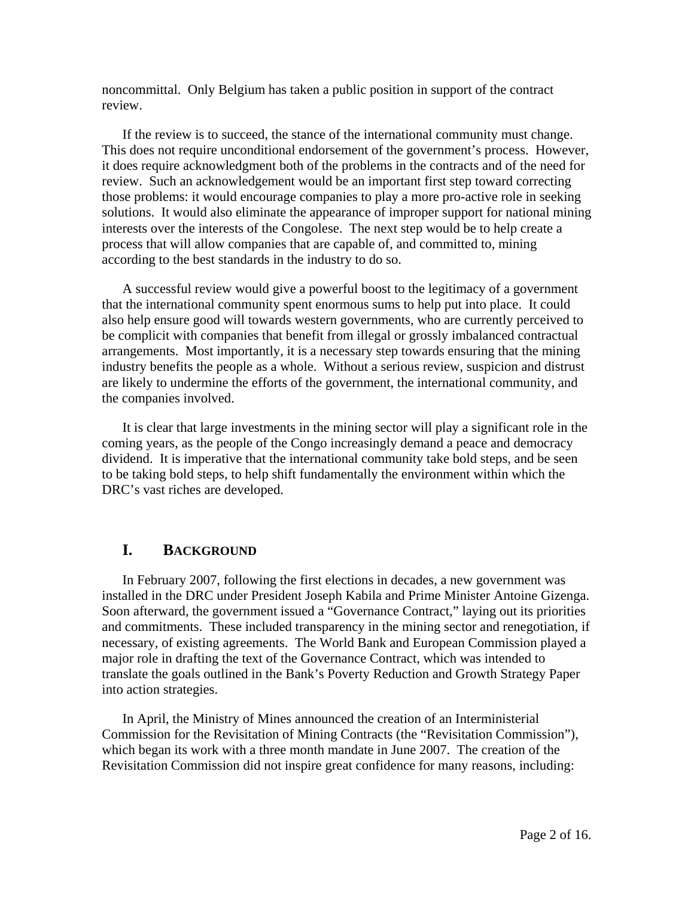noncommittal. Only Belgium has taken a public position in support of the contract review.

If the review is to succeed, the stance of the international community must change. This does not require unconditional endorsement of the government's process. However, it does require acknowledgment both of the problems in the contracts and of the need for review. Such an acknowledgement would be an important first step toward correcting those problems: it would encourage companies to play a more pro-active role in seeking solutions. It would also eliminate the appearance of improper support for national mining interests over the interests of the Congolese. The next step would be to help create a process that will allow companies that are capable of, and committed to, mining according to the best standards in the industry to do so.

A successful review would give a powerful boost to the legitimacy of a government that the international community spent enormous sums to help put into place. It could also help ensure good will towards western governments, who are currently perceived to be complicit with companies that benefit from illegal or grossly imbalanced contractual arrangements. Most importantly, it is a necessary step towards ensuring that the mining industry benefits the people as a whole. Without a serious review, suspicion and distrust are likely to undermine the efforts of the government, the international community, and the companies involved.

It is clear that large investments in the mining sector will play a significant role in the coming years, as the people of the Congo increasingly demand a peace and democracy dividend. It is imperative that the international community take bold steps, and be seen to be taking bold steps, to help shift fundamentally the environment within which the DRC's vast riches are developed.

## **I. BACKGROUND**

In February 2007, following the first elections in decades, a new government was installed in the DRC under President Joseph Kabila and Prime Minister Antoine Gizenga. Soon afterward, the government issued a "Governance Contract," laying out its priorities and commitments. These included transparency in the mining sector and renegotiation, if necessary, of existing agreements. The World Bank and European Commission played a major role in drafting the text of the Governance Contract, which was intended to translate the goals outlined in the Bank's Poverty Reduction and Growth Strategy Paper into action strategies.

In April, the Ministry of Mines announced the creation of an Interministerial Commission for the Revisitation of Mining Contracts (the "Revisitation Commission"), which began its work with a three month mandate in June 2007. The creation of the Revisitation Commission did not inspire great confidence for many reasons, including: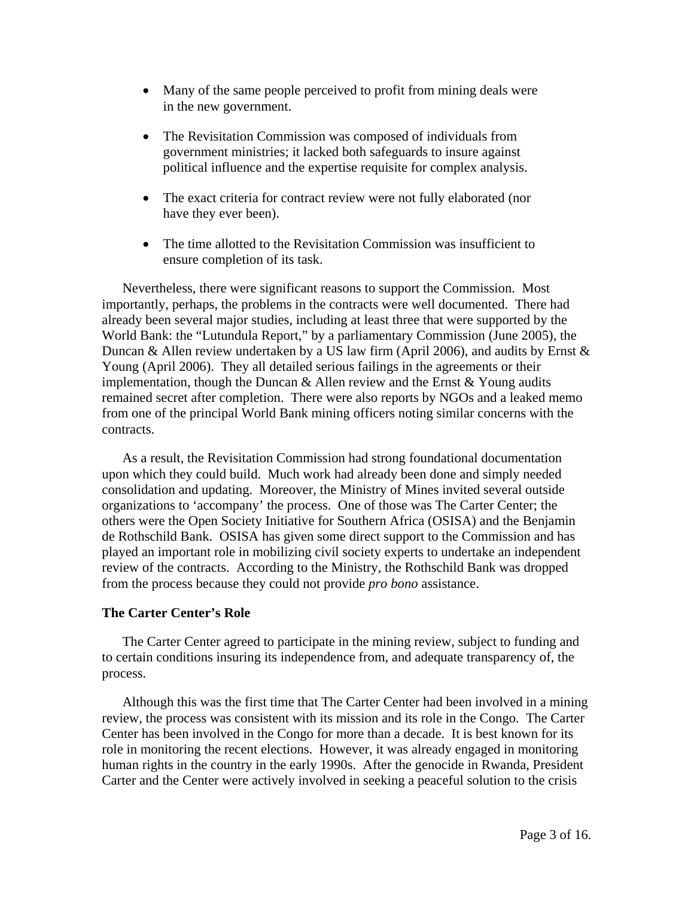- Many of the same people perceived to profit from mining deals were in the new government.
- The Revisitation Commission was composed of individuals from government ministries; it lacked both safeguards to insure against political influence and the expertise requisite for complex analysis.
- The exact criteria for contract review were not fully elaborated (nor have they ever been).
- The time allotted to the Revisitation Commission was insufficient to ensure completion of its task.

Nevertheless, there were significant reasons to support the Commission. Most importantly, perhaps, the problems in the contracts were well documented. There had already been several major studies, including at least three that were supported by the World Bank: the "Lutundula Report," by a parliamentary Commission (June 2005), the Duncan & Allen review undertaken by a US law firm (April 2006), and audits by Ernst  $\&$ Young (April 2006). They all detailed serious failings in the agreements or their implementation, though the Duncan  $\&$  Allen review and the Ernst  $\&$  Young audits remained secret after completion. There were also reports by NGOs and a leaked memo from one of the principal World Bank mining officers noting similar concerns with the contracts.

As a result, the Revisitation Commission had strong foundational documentation upon which they could build. Much work had already been done and simply needed consolidation and updating. Moreover, the Ministry of Mines invited several outside organizations to 'accompany' the process. One of those was The Carter Center; the others were the Open Society Initiative for Southern Africa (OSISA) and the Benjamin de Rothschild Bank. OSISA has given some direct support to the Commission and has played an important role in mobilizing civil society experts to undertake an independent review of the contracts. According to the Ministry, the Rothschild Bank was dropped from the process because they could not provide *pro bono* assistance.

### **The Carter Center's Role**

The Carter Center agreed to participate in the mining review, subject to funding and to certain conditions insuring its independence from, and adequate transparency of, the process.

Although this was the first time that The Carter Center had been involved in a mining review, the process was consistent with its mission and its role in the Congo. The Carter Center has been involved in the Congo for more than a decade. It is best known for its role in monitoring the recent elections. However, it was already engaged in monitoring human rights in the country in the early 1990s. After the genocide in Rwanda, President Carter and the Center were actively involved in seeking a peaceful solution to the crisis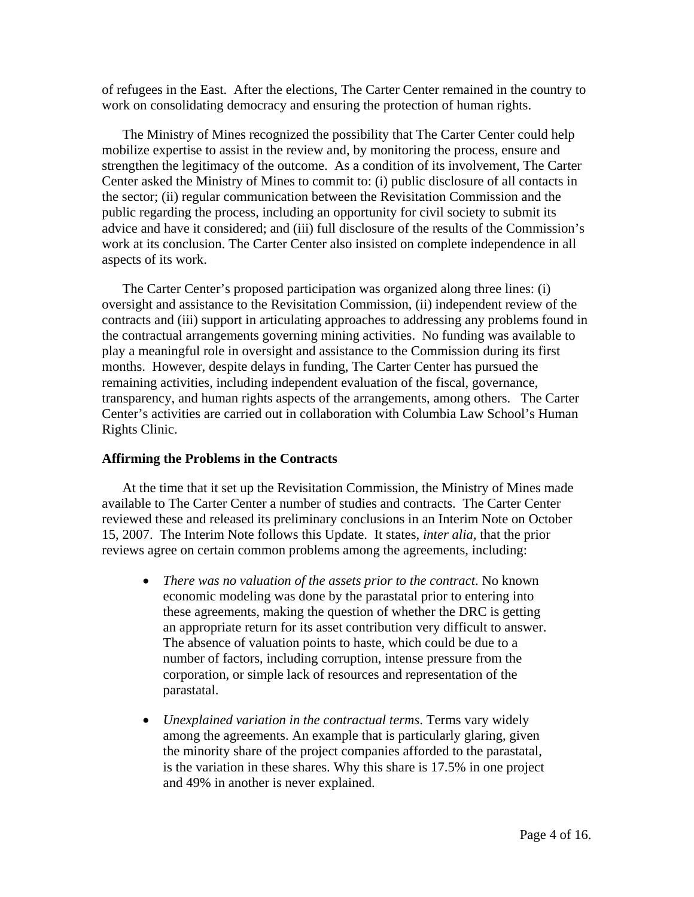of refugees in the East. After the elections, The Carter Center remained in the country to work on consolidating democracy and ensuring the protection of human rights.

The Ministry of Mines recognized the possibility that The Carter Center could help mobilize expertise to assist in the review and, by monitoring the process, ensure and strengthen the legitimacy of the outcome. As a condition of its involvement, The Carter Center asked the Ministry of Mines to commit to: (i) public disclosure of all contacts in the sector; (ii) regular communication between the Revisitation Commission and the public regarding the process, including an opportunity for civil society to submit its advice and have it considered; and (iii) full disclosure of the results of the Commission's work at its conclusion. The Carter Center also insisted on complete independence in all aspects of its work.

The Carter Center's proposed participation was organized along three lines: (i) oversight and assistance to the Revisitation Commission, (ii) independent review of the contracts and (iii) support in articulating approaches to addressing any problems found in the contractual arrangements governing mining activities. No funding was available to play a meaningful role in oversight and assistance to the Commission during its first months. However, despite delays in funding, The Carter Center has pursued the remaining activities, including independent evaluation of the fiscal, governance, transparency, and human rights aspects of the arrangements, among others. The Carter Center's activities are carried out in collaboration with Columbia Law School's Human Rights Clinic.

#### **Affirming the Problems in the Contracts**

At the time that it set up the Revisitation Commission, the Ministry of Mines made available to The Carter Center a number of studies and contracts. The Carter Center reviewed these and released its preliminary conclusions in an Interim Note on October 15, 2007. The Interim Note follows this Update. It states, *inter alia,* that the prior reviews agree on certain common problems among the agreements, including:

- *There was no valuation of the assets prior to the contract*. No known economic modeling was done by the parastatal prior to entering into these agreements, making the question of whether the DRC is getting an appropriate return for its asset contribution very difficult to answer. The absence of valuation points to haste, which could be due to a number of factors, including corruption, intense pressure from the corporation, or simple lack of resources and representation of the parastatal.
- *Unexplained variation in the contractual terms*. Terms vary widely among the agreements. An example that is particularly glaring, given the minority share of the project companies afforded to the parastatal, is the variation in these shares. Why this share is 17.5% in one project and 49% in another is never explained.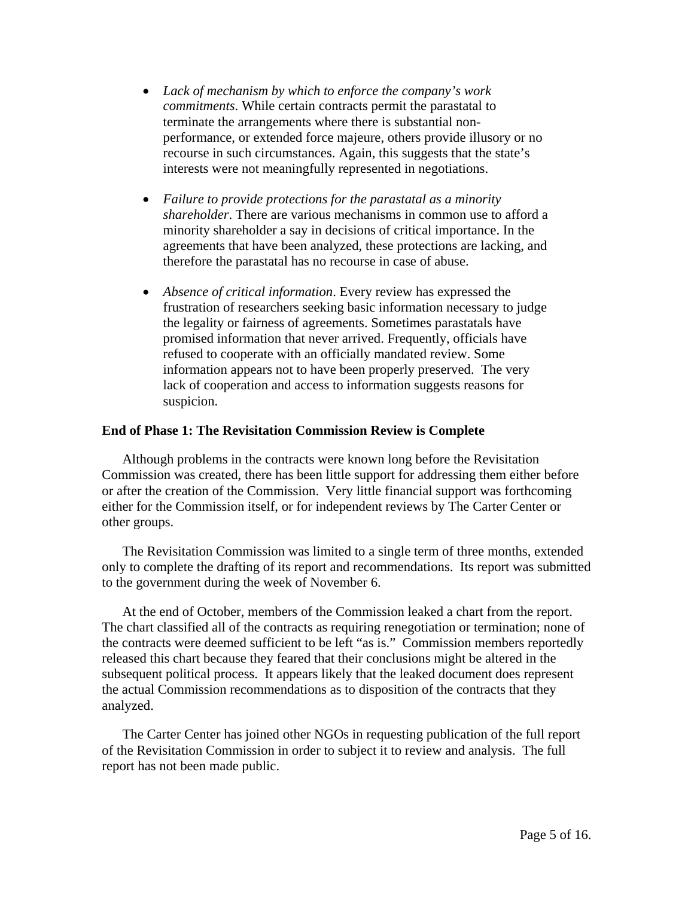- *Lack of mechanism by which to enforce the company's work commitments*. While certain contracts permit the parastatal to terminate the arrangements where there is substantial nonperformance, or extended force majeure, others provide illusory or no recourse in such circumstances. Again, this suggests that the state's interests were not meaningfully represented in negotiations.
- *Failure to provide protections for the parastatal as a minority shareholder*. There are various mechanisms in common use to afford a minority shareholder a say in decisions of critical importance. In the agreements that have been analyzed, these protections are lacking, and therefore the parastatal has no recourse in case of abuse.
- *Absence of critical information*. Every review has expressed the frustration of researchers seeking basic information necessary to judge the legality or fairness of agreements. Sometimes parastatals have promised information that never arrived. Frequently, officials have refused to cooperate with an officially mandated review. Some information appears not to have been properly preserved. The very lack of cooperation and access to information suggests reasons for suspicion.

### **End of Phase 1: The Revisitation Commission Review is Complete**

Although problems in the contracts were known long before the Revisitation Commission was created, there has been little support for addressing them either before or after the creation of the Commission. Very little financial support was forthcoming either for the Commission itself, or for independent reviews by The Carter Center or other groups.

The Revisitation Commission was limited to a single term of three months, extended only to complete the drafting of its report and recommendations. Its report was submitted to the government during the week of November 6.

At the end of October, members of the Commission leaked a chart from the report. The chart classified all of the contracts as requiring renegotiation or termination; none of the contracts were deemed sufficient to be left "as is." Commission members reportedly released this chart because they feared that their conclusions might be altered in the subsequent political process. It appears likely that the leaked document does represent the actual Commission recommendations as to disposition of the contracts that they analyzed.

The Carter Center has joined other NGOs in requesting publication of the full report of the Revisitation Commission in order to subject it to review and analysis. The full report has not been made public.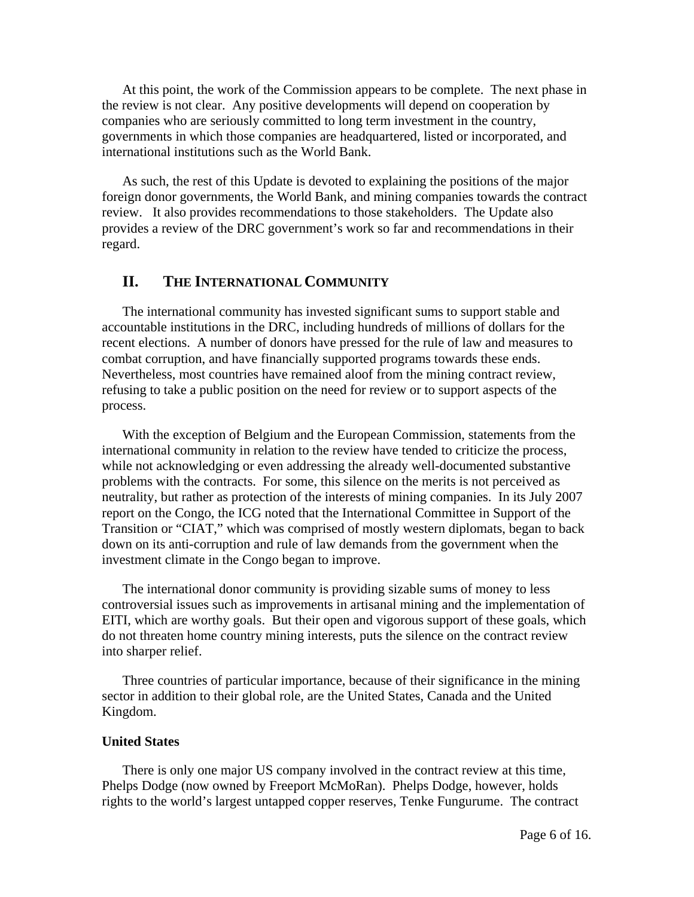At this point, the work of the Commission appears to be complete. The next phase in the review is not clear. Any positive developments will depend on cooperation by companies who are seriously committed to long term investment in the country, governments in which those companies are headquartered, listed or incorporated, and international institutions such as the World Bank.

As such, the rest of this Update is devoted to explaining the positions of the major foreign donor governments, the World Bank, and mining companies towards the contract review. It also provides recommendations to those stakeholders. The Update also provides a review of the DRC government's work so far and recommendations in their regard.

## **II. THE INTERNATIONAL COMMUNITY**

The international community has invested significant sums to support stable and accountable institutions in the DRC, including hundreds of millions of dollars for the recent elections. A number of donors have pressed for the rule of law and measures to combat corruption, and have financially supported programs towards these ends. Nevertheless, most countries have remained aloof from the mining contract review, refusing to take a public position on the need for review or to support aspects of the process.

With the exception of Belgium and the European Commission, statements from the international community in relation to the review have tended to criticize the process, while not acknowledging or even addressing the already well-documented substantive problems with the contracts. For some, this silence on the merits is not perceived as neutrality, but rather as protection of the interests of mining companies. In its July 2007 report on the Congo, the ICG noted that the International Committee in Support of the Transition or "CIAT," which was comprised of mostly western diplomats, began to back down on its anti-corruption and rule of law demands from the government when the investment climate in the Congo began to improve.

The international donor community is providing sizable sums of money to less controversial issues such as improvements in artisanal mining and the implementation of EITI, which are worthy goals. But their open and vigorous support of these goals, which do not threaten home country mining interests, puts the silence on the contract review into sharper relief.

Three countries of particular importance, because of their significance in the mining sector in addition to their global role, are the United States, Canada and the United Kingdom.

#### **United States**

There is only one major US company involved in the contract review at this time, Phelps Dodge (now owned by Freeport McMoRan). Phelps Dodge, however, holds rights to the world's largest untapped copper reserves, Tenke Fungurume. The contract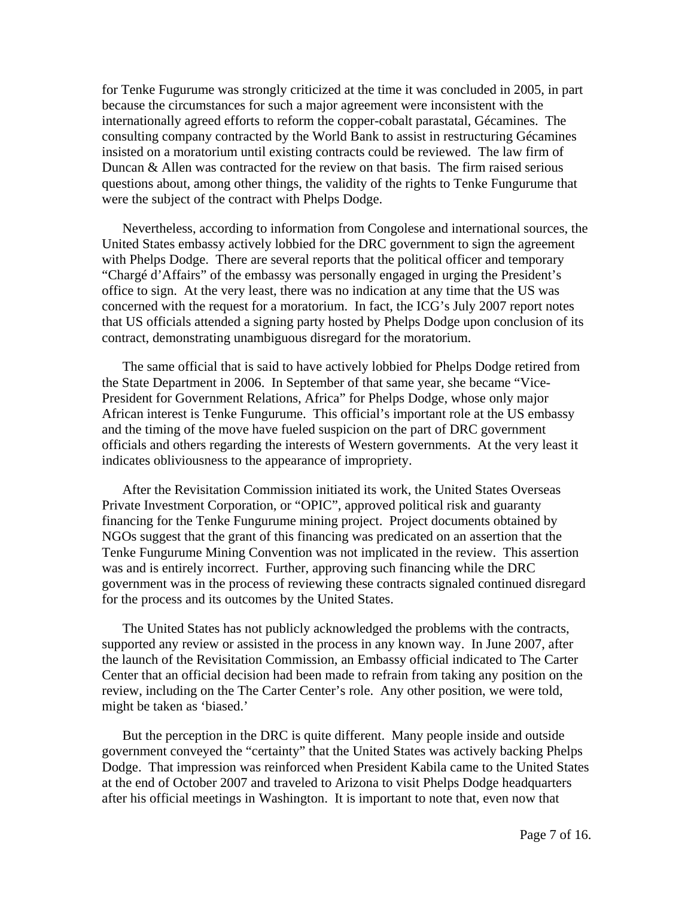for Tenke Fugurume was strongly criticized at the time it was concluded in 2005, in part because the circumstances for such a major agreement were inconsistent with the internationally agreed efforts to reform the copper-cobalt parastatal, Gécamines. The consulting company contracted by the World Bank to assist in restructuring Gécamines insisted on a moratorium until existing contracts could be reviewed. The law firm of Duncan & Allen was contracted for the review on that basis. The firm raised serious questions about, among other things, the validity of the rights to Tenke Fungurume that were the subject of the contract with Phelps Dodge.

Nevertheless, according to information from Congolese and international sources, the United States embassy actively lobbied for the DRC government to sign the agreement with Phelps Dodge. There are several reports that the political officer and temporary "Chargé d'Affairs" of the embassy was personally engaged in urging the President's office to sign. At the very least, there was no indication at any time that the US was concerned with the request for a moratorium. In fact, the ICG's July 2007 report notes that US officials attended a signing party hosted by Phelps Dodge upon conclusion of its contract, demonstrating unambiguous disregard for the moratorium.

The same official that is said to have actively lobbied for Phelps Dodge retired from the State Department in 2006. In September of that same year, she became "Vice-President for Government Relations, Africa" for Phelps Dodge, whose only major African interest is Tenke Fungurume. This official's important role at the US embassy and the timing of the move have fueled suspicion on the part of DRC government officials and others regarding the interests of Western governments. At the very least it indicates obliviousness to the appearance of impropriety.

After the Revisitation Commission initiated its work, the United States Overseas Private Investment Corporation, or "OPIC", approved political risk and guaranty financing for the Tenke Fungurume mining project. Project documents obtained by NGOs suggest that the grant of this financing was predicated on an assertion that the Tenke Fungurume Mining Convention was not implicated in the review. This assertion was and is entirely incorrect. Further, approving such financing while the DRC government was in the process of reviewing these contracts signaled continued disregard for the process and its outcomes by the United States.

The United States has not publicly acknowledged the problems with the contracts, supported any review or assisted in the process in any known way. In June 2007, after the launch of the Revisitation Commission, an Embassy official indicated to The Carter Center that an official decision had been made to refrain from taking any position on the review, including on the The Carter Center's role. Any other position, we were told, might be taken as 'biased.'

But the perception in the DRC is quite different. Many people inside and outside government conveyed the "certainty" that the United States was actively backing Phelps Dodge. That impression was reinforced when President Kabila came to the United States at the end of October 2007 and traveled to Arizona to visit Phelps Dodge headquarters after his official meetings in Washington. It is important to note that, even now that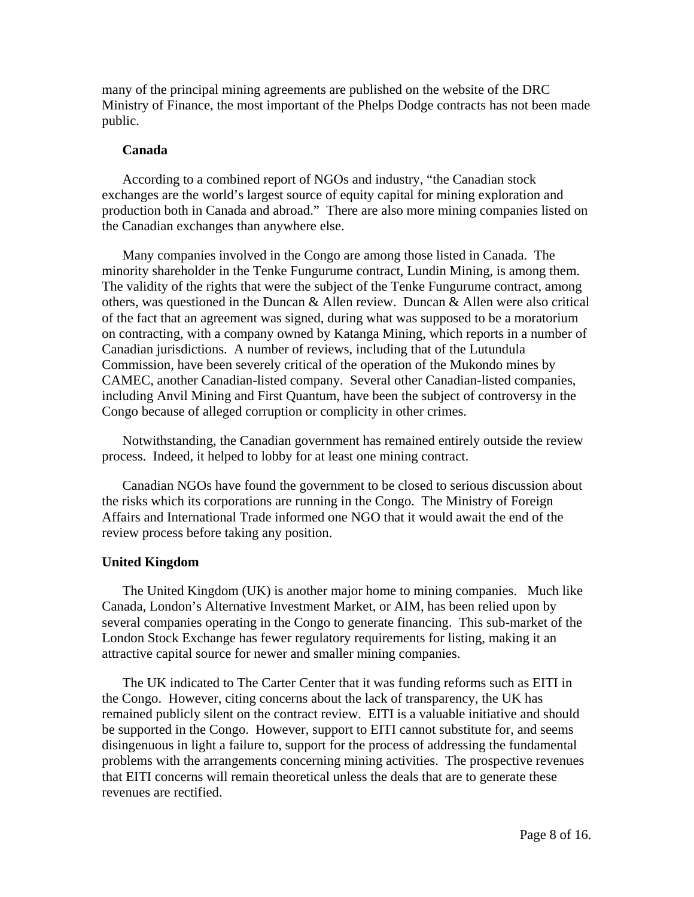many of the principal mining agreements are published on the website of the DRC Ministry of Finance, the most important of the Phelps Dodge contracts has not been made public.

#### **Canada**

According to a combined report of NGOs and industry, "the Canadian stock exchanges are the world's largest source of equity capital for mining exploration and production both in Canada and abroad." There are also more mining companies listed on the Canadian exchanges than anywhere else.

Many companies involved in the Congo are among those listed in Canada. The minority shareholder in the Tenke Fungurume contract, Lundin Mining, is among them. The validity of the rights that were the subject of the Tenke Fungurume contract, among others, was questioned in the Duncan & Allen review. Duncan & Allen were also critical of the fact that an agreement was signed, during what was supposed to be a moratorium on contracting, with a company owned by Katanga Mining, which reports in a number of Canadian jurisdictions. A number of reviews, including that of the Lutundula Commission, have been severely critical of the operation of the Mukondo mines by CAMEC, another Canadian-listed company. Several other Canadian-listed companies, including Anvil Mining and First Quantum, have been the subject of controversy in the Congo because of alleged corruption or complicity in other crimes.

Notwithstanding, the Canadian government has remained entirely outside the review process. Indeed, it helped to lobby for at least one mining contract.

Canadian NGOs have found the government to be closed to serious discussion about the risks which its corporations are running in the Congo. The Ministry of Foreign Affairs and International Trade informed one NGO that it would await the end of the review process before taking any position.

### **United Kingdom**

The United Kingdom (UK) is another major home to mining companies. Much like Canada, London's Alternative Investment Market, or AIM, has been relied upon by several companies operating in the Congo to generate financing. This sub-market of the London Stock Exchange has fewer regulatory requirements for listing, making it an attractive capital source for newer and smaller mining companies.

The UK indicated to The Carter Center that it was funding reforms such as EITI in the Congo. However, citing concerns about the lack of transparency, the UK has remained publicly silent on the contract review. EITI is a valuable initiative and should be supported in the Congo. However, support to EITI cannot substitute for, and seems disingenuous in light a failure to, support for the process of addressing the fundamental problems with the arrangements concerning mining activities. The prospective revenues that EITI concerns will remain theoretical unless the deals that are to generate these revenues are rectified.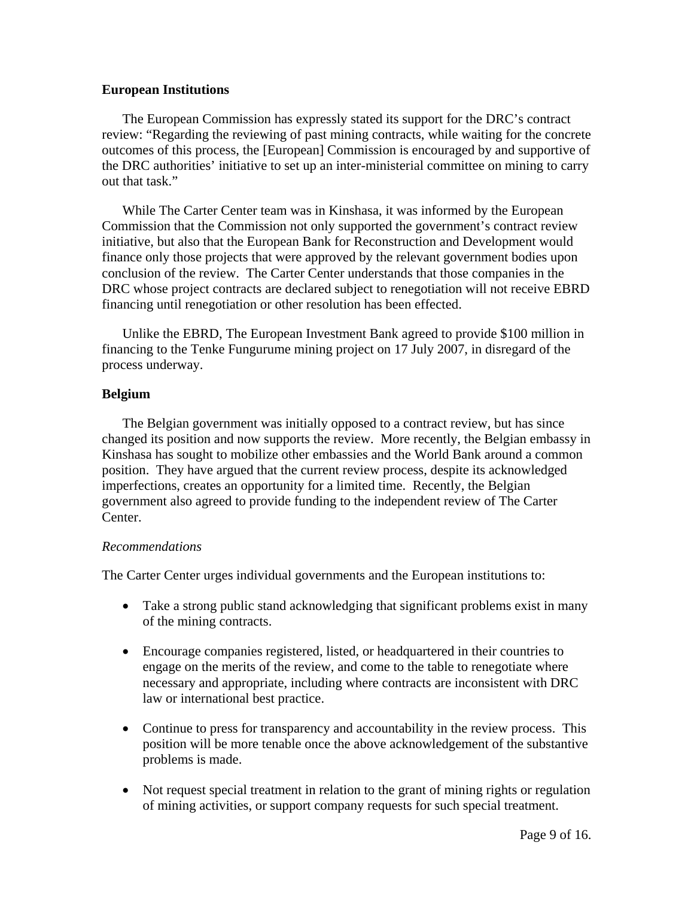### **European Institutions**

The European Commission has expressly stated its support for the DRC's contract review: "Regarding the reviewing of past mining contracts, while waiting for the concrete outcomes of this process, the [European] Commission is encouraged by and supportive of the DRC authorities' initiative to set up an inter-ministerial committee on mining to carry out that task."

While The Carter Center team was in Kinshasa, it was informed by the European Commission that the Commission not only supported the government's contract review initiative, but also that the European Bank for Reconstruction and Development would finance only those projects that were approved by the relevant government bodies upon conclusion of the review. The Carter Center understands that those companies in the DRC whose project contracts are declared subject to renegotiation will not receive EBRD financing until renegotiation or other resolution has been effected.

Unlike the EBRD, The European Investment Bank agreed to provide \$100 million in financing to the Tenke Fungurume mining project on 17 July 2007, in disregard of the process underway.

## **Belgium**

The Belgian government was initially opposed to a contract review, but has since changed its position and now supports the review. More recently, the Belgian embassy in Kinshasa has sought to mobilize other embassies and the World Bank around a common position. They have argued that the current review process, despite its acknowledged imperfections, creates an opportunity for a limited time. Recently, the Belgian government also agreed to provide funding to the independent review of The Carter Center.

### *Recommendations*

The Carter Center urges individual governments and the European institutions to:

- Take a strong public stand acknowledging that significant problems exist in many of the mining contracts.
- Encourage companies registered, listed, or headquartered in their countries to engage on the merits of the review, and come to the table to renegotiate where necessary and appropriate, including where contracts are inconsistent with DRC law or international best practice.
- Continue to press for transparency and accountability in the review process. This position will be more tenable once the above acknowledgement of the substantive problems is made.
- Not request special treatment in relation to the grant of mining rights or regulation of mining activities, or support company requests for such special treatment.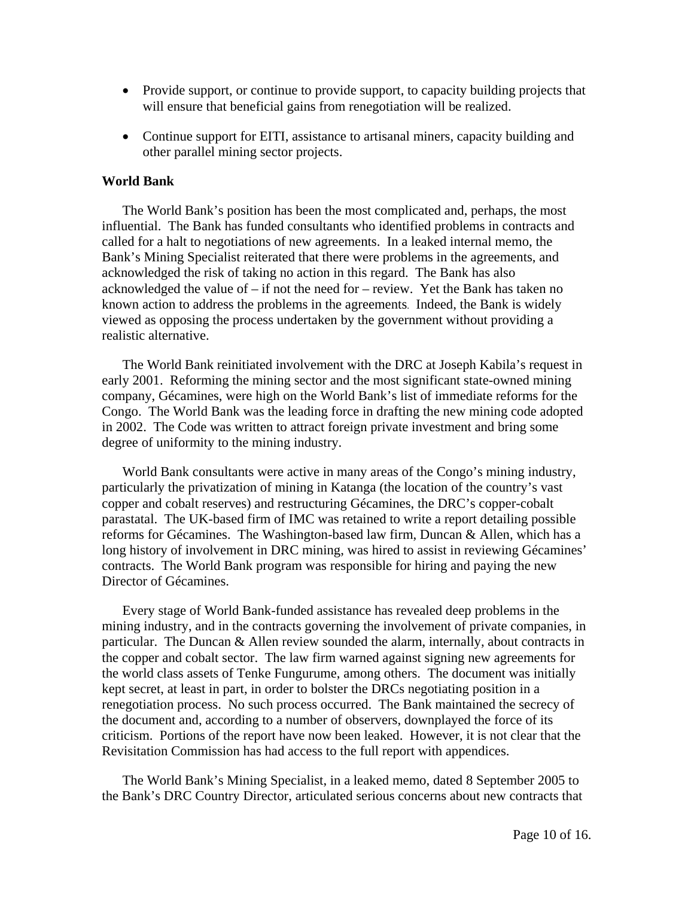- Provide support, or continue to provide support, to capacity building projects that will ensure that beneficial gains from renegotiation will be realized.
- Continue support for EITI, assistance to artisanal miners, capacity building and other parallel mining sector projects.

### **World Bank**

The World Bank's position has been the most complicated and, perhaps, the most influential. The Bank has funded consultants who identified problems in contracts and called for a halt to negotiations of new agreements. In a leaked internal memo, the Bank's Mining Specialist reiterated that there were problems in the agreements, and acknowledged the risk of taking no action in this regard. The Bank has also acknowledged the value of – if not the need for – review. Yet the Bank has taken no known action to address the problems in the agreements. Indeed, the Bank is widely viewed as opposing the process undertaken by the government without providing a realistic alternative.

The World Bank reinitiated involvement with the DRC at Joseph Kabila's request in early 2001. Reforming the mining sector and the most significant state-owned mining company, Gécamines, were high on the World Bank's list of immediate reforms for the Congo. The World Bank was the leading force in drafting the new mining code adopted in 2002. The Code was written to attract foreign private investment and bring some degree of uniformity to the mining industry.

World Bank consultants were active in many areas of the Congo's mining industry, particularly the privatization of mining in Katanga (the location of the country's vast copper and cobalt reserves) and restructuring Gécamines, the DRC's copper-cobalt parastatal. The UK-based firm of IMC was retained to write a report detailing possible reforms for Gécamines. The Washington-based law firm, Duncan & Allen, which has a long history of involvement in DRC mining, was hired to assist in reviewing Gécamines' contracts. The World Bank program was responsible for hiring and paying the new Director of Gécamines.

Every stage of World Bank-funded assistance has revealed deep problems in the mining industry, and in the contracts governing the involvement of private companies, in particular. The Duncan & Allen review sounded the alarm, internally, about contracts in the copper and cobalt sector. The law firm warned against signing new agreements for the world class assets of Tenke Fungurume, among others. The document was initially kept secret, at least in part, in order to bolster the DRCs negotiating position in a renegotiation process. No such process occurred. The Bank maintained the secrecy of the document and, according to a number of observers, downplayed the force of its criticism. Portions of the report have now been leaked. However, it is not clear that the Revisitation Commission has had access to the full report with appendices.

The World Bank's Mining Specialist, in a leaked memo, dated 8 September 2005 to the Bank's DRC Country Director, articulated serious concerns about new contracts that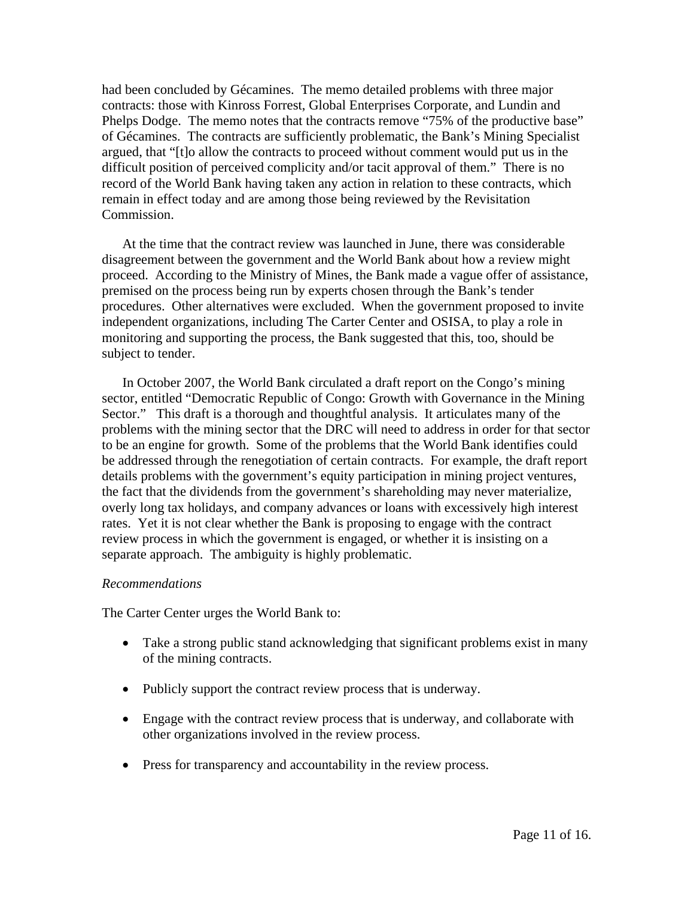had been concluded by Gécamines. The memo detailed problems with three major contracts: those with Kinross Forrest, Global Enterprises Corporate, and Lundin and Phelps Dodge. The memo notes that the contracts remove "75% of the productive base" of Gécamines. The contracts are sufficiently problematic, the Bank's Mining Specialist argued, that "[t]o allow the contracts to proceed without comment would put us in the difficult position of perceived complicity and/or tacit approval of them." There is no record of the World Bank having taken any action in relation to these contracts, which remain in effect today and are among those being reviewed by the Revisitation Commission.

At the time that the contract review was launched in June, there was considerable disagreement between the government and the World Bank about how a review might proceed. According to the Ministry of Mines, the Bank made a vague offer of assistance, premised on the process being run by experts chosen through the Bank's tender procedures. Other alternatives were excluded. When the government proposed to invite independent organizations, including The Carter Center and OSISA, to play a role in monitoring and supporting the process, the Bank suggested that this, too, should be subject to tender.

In October 2007, the World Bank circulated a draft report on the Congo's mining sector, entitled "Democratic Republic of Congo: Growth with Governance in the Mining Sector." This draft is a thorough and thoughtful analysis. It articulates many of the problems with the mining sector that the DRC will need to address in order for that sector to be an engine for growth. Some of the problems that the World Bank identifies could be addressed through the renegotiation of certain contracts. For example, the draft report details problems with the government's equity participation in mining project ventures, the fact that the dividends from the government's shareholding may never materialize, overly long tax holidays, and company advances or loans with excessively high interest rates. Yet it is not clear whether the Bank is proposing to engage with the contract review process in which the government is engaged, or whether it is insisting on a separate approach. The ambiguity is highly problematic.

#### *Recommendations*

The Carter Center urges the World Bank to:

- Take a strong public stand acknowledging that significant problems exist in many of the mining contracts.
- Publicly support the contract review process that is underway.
- Engage with the contract review process that is underway, and collaborate with other organizations involved in the review process.
- Press for transparency and accountability in the review process.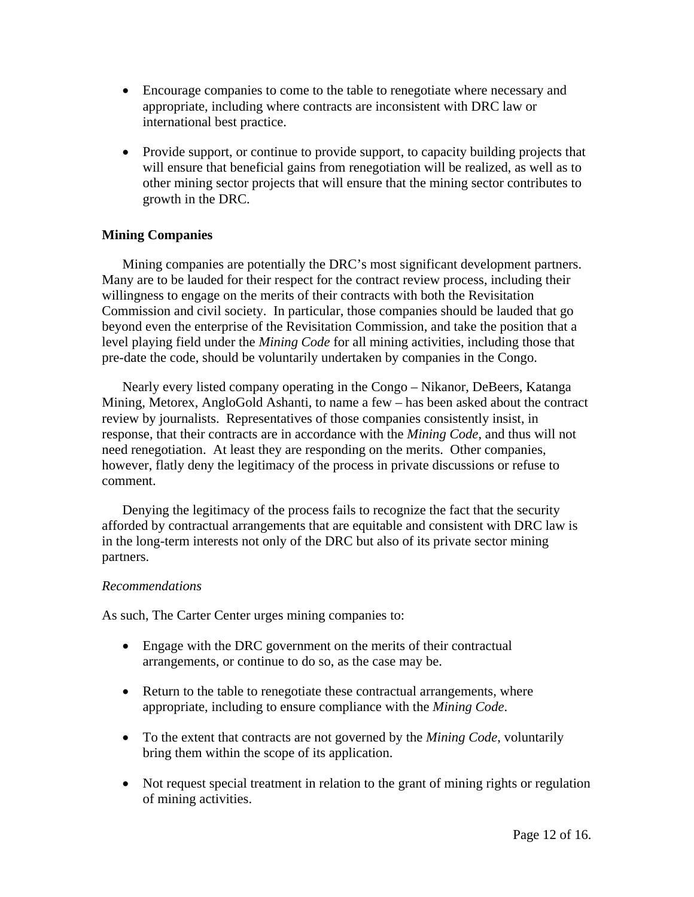- Encourage companies to come to the table to renegotiate where necessary and appropriate, including where contracts are inconsistent with DRC law or international best practice.
- Provide support, or continue to provide support, to capacity building projects that will ensure that beneficial gains from renegotiation will be realized, as well as to other mining sector projects that will ensure that the mining sector contributes to growth in the DRC.

### **Mining Companies**

Mining companies are potentially the DRC's most significant development partners. Many are to be lauded for their respect for the contract review process, including their willingness to engage on the merits of their contracts with both the Revisitation Commission and civil society. In particular, those companies should be lauded that go beyond even the enterprise of the Revisitation Commission, and take the position that a level playing field under the *Mining Code* for all mining activities, including those that pre-date the code, should be voluntarily undertaken by companies in the Congo.

Nearly every listed company operating in the Congo – Nikanor, DeBeers, Katanga Mining, Metorex, AngloGold Ashanti, to name a few – has been asked about the contract review by journalists. Representatives of those companies consistently insist, in response, that their contracts are in accordance with the *Mining Code*, and thus will not need renegotiation. At least they are responding on the merits. Other companies, however, flatly deny the legitimacy of the process in private discussions or refuse to comment.

Denying the legitimacy of the process fails to recognize the fact that the security afforded by contractual arrangements that are equitable and consistent with DRC law is in the long-term interests not only of the DRC but also of its private sector mining partners.

### *Recommendations*

As such, The Carter Center urges mining companies to:

- Engage with the DRC government on the merits of their contractual arrangements, or continue to do so, as the case may be.
- Return to the table to renegotiate these contractual arrangements, where appropriate, including to ensure compliance with the *Mining Code*.
- To the extent that contracts are not governed by the *Mining Code*, voluntarily bring them within the scope of its application.
- Not request special treatment in relation to the grant of mining rights or regulation of mining activities.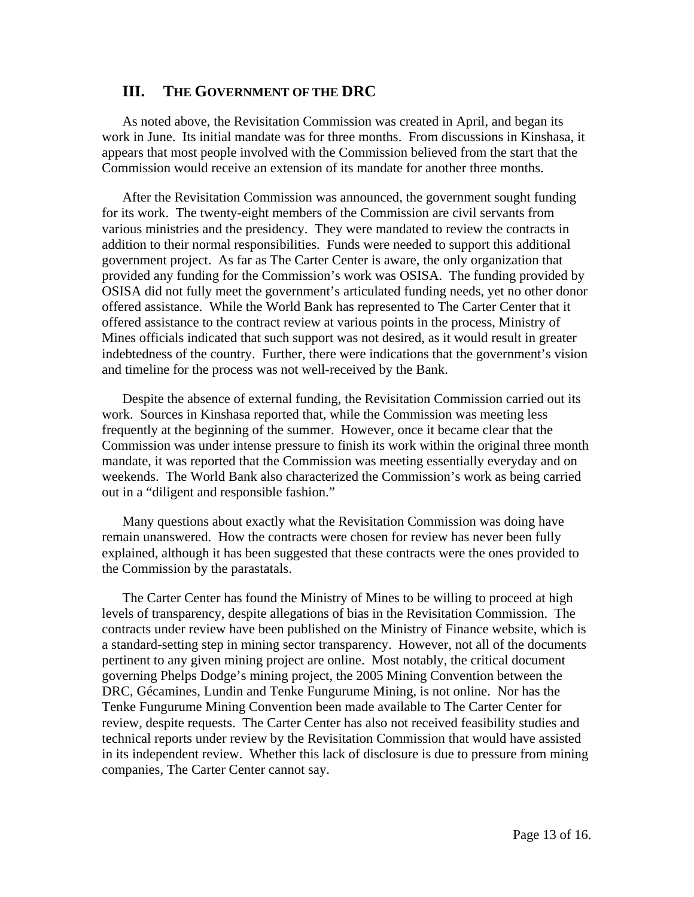### **III. THE GOVERNMENT OF THE DRC**

As noted above, the Revisitation Commission was created in April, and began its work in June. Its initial mandate was for three months. From discussions in Kinshasa, it appears that most people involved with the Commission believed from the start that the Commission would receive an extension of its mandate for another three months.

After the Revisitation Commission was announced, the government sought funding for its work. The twenty-eight members of the Commission are civil servants from various ministries and the presidency. They were mandated to review the contracts in addition to their normal responsibilities. Funds were needed to support this additional government project. As far as The Carter Center is aware, the only organization that provided any funding for the Commission's work was OSISA. The funding provided by OSISA did not fully meet the government's articulated funding needs, yet no other donor offered assistance. While the World Bank has represented to The Carter Center that it offered assistance to the contract review at various points in the process, Ministry of Mines officials indicated that such support was not desired, as it would result in greater indebtedness of the country. Further, there were indications that the government's vision and timeline for the process was not well-received by the Bank.

Despite the absence of external funding, the Revisitation Commission carried out its work. Sources in Kinshasa reported that, while the Commission was meeting less frequently at the beginning of the summer. However, once it became clear that the Commission was under intense pressure to finish its work within the original three month mandate, it was reported that the Commission was meeting essentially everyday and on weekends. The World Bank also characterized the Commission's work as being carried out in a "diligent and responsible fashion."

Many questions about exactly what the Revisitation Commission was doing have remain unanswered. How the contracts were chosen for review has never been fully explained, although it has been suggested that these contracts were the ones provided to the Commission by the parastatals.

The Carter Center has found the Ministry of Mines to be willing to proceed at high levels of transparency, despite allegations of bias in the Revisitation Commission. The contracts under review have been published on the Ministry of Finance website, which is a standard-setting step in mining sector transparency. However, not all of the documents pertinent to any given mining project are online. Most notably, the critical document governing Phelps Dodge's mining project, the 2005 Mining Convention between the DRC, Gécamines, Lundin and Tenke Fungurume Mining, is not online. Nor has the Tenke Fungurume Mining Convention been made available to The Carter Center for review, despite requests. The Carter Center has also not received feasibility studies and technical reports under review by the Revisitation Commission that would have assisted in its independent review. Whether this lack of disclosure is due to pressure from mining companies, The Carter Center cannot say.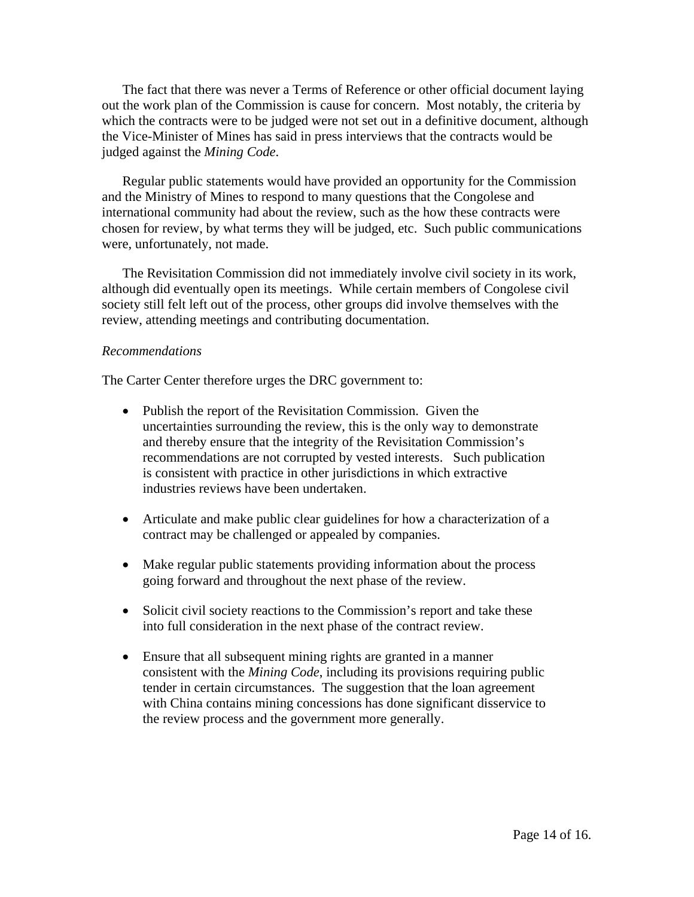The fact that there was never a Terms of Reference or other official document laying out the work plan of the Commission is cause for concern. Most notably, the criteria by which the contracts were to be judged were not set out in a definitive document, although the Vice-Minister of Mines has said in press interviews that the contracts would be judged against the *Mining Code*.

Regular public statements would have provided an opportunity for the Commission and the Ministry of Mines to respond to many questions that the Congolese and international community had about the review, such as the how these contracts were chosen for review, by what terms they will be judged, etc. Such public communications were, unfortunately, not made.

The Revisitation Commission did not immediately involve civil society in its work, although did eventually open its meetings. While certain members of Congolese civil society still felt left out of the process, other groups did involve themselves with the review, attending meetings and contributing documentation.

#### *Recommendations*

The Carter Center therefore urges the DRC government to:

- Publish the report of the Revisitation Commission. Given the uncertainties surrounding the review, this is the only way to demonstrate and thereby ensure that the integrity of the Revisitation Commission's recommendations are not corrupted by vested interests. Such publication is consistent with practice in other jurisdictions in which extractive industries reviews have been undertaken.
- Articulate and make public clear guidelines for how a characterization of a contract may be challenged or appealed by companies.
- Make regular public statements providing information about the process going forward and throughout the next phase of the review.
- Solicit civil society reactions to the Commission's report and take these into full consideration in the next phase of the contract review.
- Ensure that all subsequent mining rights are granted in a manner consistent with the *Mining Code*, including its provisions requiring public tender in certain circumstances. The suggestion that the loan agreement with China contains mining concessions has done significant disservice to the review process and the government more generally.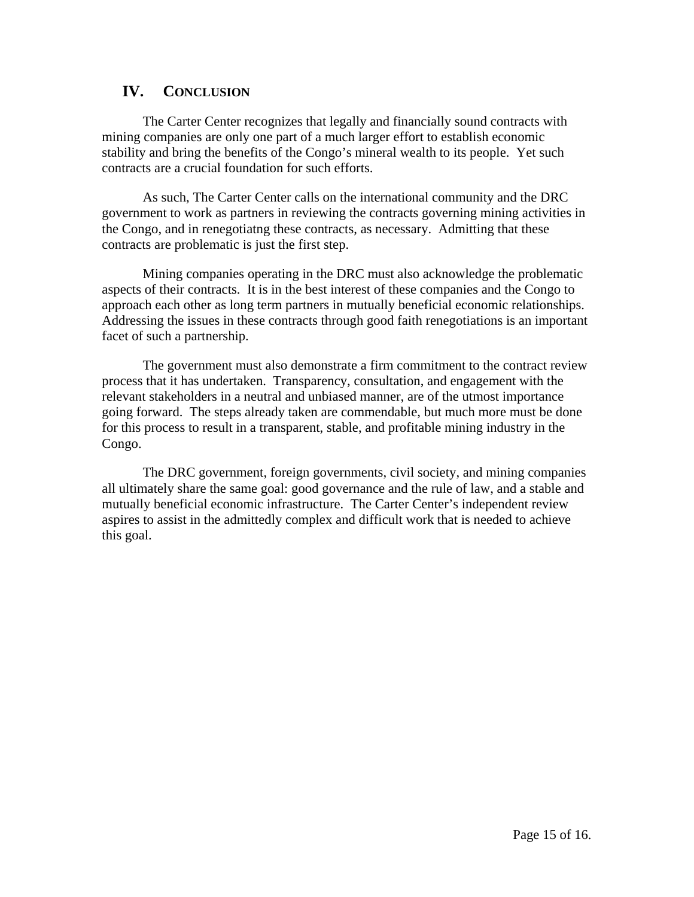## **IV. CONCLUSION**

The Carter Center recognizes that legally and financially sound contracts with mining companies are only one part of a much larger effort to establish economic stability and bring the benefits of the Congo's mineral wealth to its people. Yet such contracts are a crucial foundation for such efforts.

As such, The Carter Center calls on the international community and the DRC government to work as partners in reviewing the contracts governing mining activities in the Congo, and in renegotiatng these contracts, as necessary. Admitting that these contracts are problematic is just the first step.

Mining companies operating in the DRC must also acknowledge the problematic aspects of their contracts. It is in the best interest of these companies and the Congo to approach each other as long term partners in mutually beneficial economic relationships. Addressing the issues in these contracts through good faith renegotiations is an important facet of such a partnership.

The government must also demonstrate a firm commitment to the contract review process that it has undertaken. Transparency, consultation, and engagement with the relevant stakeholders in a neutral and unbiased manner, are of the utmost importance going forward. The steps already taken are commendable, but much more must be done for this process to result in a transparent, stable, and profitable mining industry in the Congo.

The DRC government, foreign governments, civil society, and mining companies all ultimately share the same goal: good governance and the rule of law, and a stable and mutually beneficial economic infrastructure. The Carter Center's independent review aspires to assist in the admittedly complex and difficult work that is needed to achieve this goal.